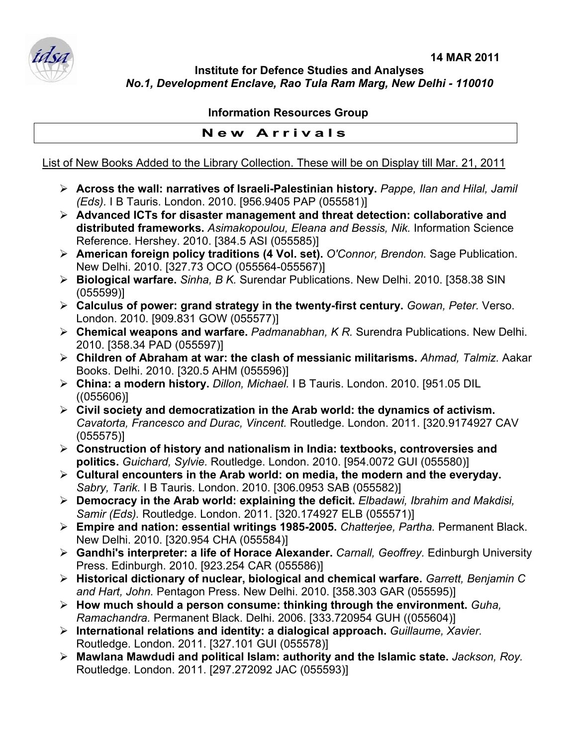

**Institute for Defence Studies and Analyses**  *No.1, Development Enclave, Rao Tula Ram Marg, New Delhi - 110010* 

## **Information Resources Group**

## **New Arrivals**

## List of New Books Added to the Library Collection. These will be on Display till Mar. 21, 2011

- ¾ **Across the wall: narratives of Israeli-Palestinian history.** *Pappe, Ilan and Hilal, Jamil (Eds).* I B Tauris. London. 2010. [956.9405 PAP (055581)]
- ¾ **Advanced ICTs for disaster management and threat detection: collaborative and distributed frameworks.** *Asimakopoulou, Eleana and Bessis, Nik.* Information Science Reference. Hershey. 2010. [384.5 ASI (055585)]
- ¾ **American foreign policy traditions (4 Vol. set).** *O'Connor, Brendon.* Sage Publication. New Delhi. 2010. [327.73 OCO (055564-055567)]
- ¾ **Biological warfare.** *Sinha, B K.* Surendar Publications. New Delhi. 2010. [358.38 SIN (055599)]
- ¾ **Calculus of power: grand strategy in the twenty-first century.** *Gowan, Peter.* Verso. London. 2010. [909.831 GOW (055577)]
- ¾ **Chemical weapons and warfare.** *Padmanabhan, K R.* Surendra Publications. New Delhi. 2010. [358.34 PAD (055597)]
- ¾ **Children of Abraham at war: the clash of messianic militarisms.** *Ahmad, Talmiz.* Aakar Books. Delhi. 2010. [320.5 AHM (055596)]
- ¾ **China: a modern history.** *Dillon, Michael.* I B Tauris. London. 2010. [951.05 DIL ((055606)]
- ¾ **Civil society and democratization in the Arab world: the dynamics of activism.**  *Cavatorta, Francesco and Durac, Vincent.* Routledge. London. 2011. [320.9174927 CAV (055575)]
- ¾ **Construction of history and nationalism in India: textbooks, controversies and politics.** *Guichard, Sylvie.* Routledge. London. 2010. [954.0072 GUI (055580)]
- ¾ **Cultural encounters in the Arab world: on media, the modern and the everyday.**  *Sabry, Tarik.* I B Tauris. London. 2010. [306.0953 SAB (055582)]
- ¾ **Democracy in the Arab world: explaining the deficit.** *Elbadawi, Ibrahim and Makdisi, Samir (Eds).* Routledge. London. 2011. [320.174927 ELB (055571)]
- ¾ **Empire and nation: essential writings 1985-2005.** *Chatterjee, Partha.* Permanent Black. New Delhi. 2010. [320.954 CHA (055584)]
- ¾ **Gandhi's interpreter: a life of Horace Alexander.** *Carnall, Geoffrey.* Edinburgh University Press. Edinburgh. 2010. [923.254 CAR (055586)]
- ¾ **Historical dictionary of nuclear, biological and chemical warfare.** *Garrett, Benjamin C and Hart, John.* Pentagon Press. New Delhi. 2010. [358.303 GAR (055595)]
- ¾ **How much should a person consume: thinking through the environment.** *Guha, Ramachandra.* Permanent Black. Delhi. 2006. [333.720954 GUH ((055604)]
- ¾ **International relations and identity: a dialogical approach.** *Guillaume, Xavier.*  Routledge. London. 2011. [327.101 GUI (055578)]
- ¾ **Mawlana Mawdudi and political Islam: authority and the Islamic state.** *Jackson, Roy.*  Routledge. London. 2011. [297.272092 JAC (055593)]